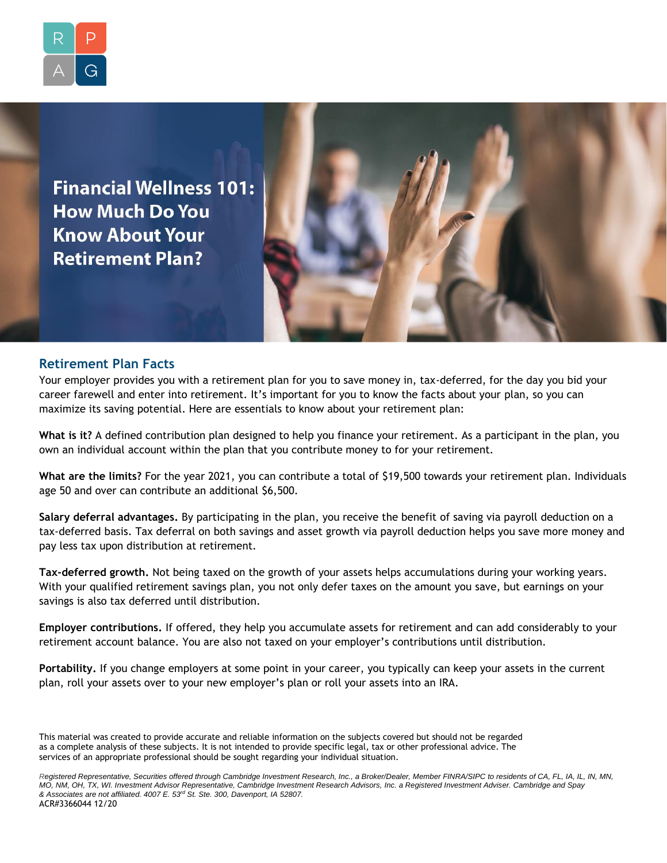

**Financial Wellness 101: How Much Do You Know About Your Retirement Plan?** 



## **Retirement Plan Facts**

Your employer provides you with a retirement plan for you to save money in, tax-deferred, for the day you bid your career farewell and enter into retirement. It's important for you to know the facts about your plan, so you can maximize its saving potential. Here are essentials to know about your retirement plan:

**What is it?** A defined contribution plan designed to help you finance your retirement. As a participant in the plan, you own an individual account within the plan that you contribute money to for your retirement.

**What are the limits?** For the year 2021, you can contribute a total of \$19,500 towards your retirement plan. Individuals age 50 and over can contribute an additional \$6,500.

**Salary deferral advantages.** By participating in the plan, you receive the benefit of saving via payroll deduction on a tax-deferred basis. Tax deferral on both savings and asset growth via payroll deduction helps you save more money and pay less tax upon distribution at retirement.

**Tax-deferred growth.** Not being taxed on the growth of your assets helps accumulations during your working years. With your qualified retirement savings plan, you not only defer taxes on the amount you save, but earnings on your savings is also tax deferred until distribution.

**Employer contributions.** If offered, they help you accumulate assets for retirement and can add considerably to your retirement account balance. You are also not taxed on your employer's contributions until distribution.

**Portability.** If you change employers at some point in your career, you typically can keep your assets in the current plan, roll your assets over to your new employer's plan or roll your assets into an IRA.

*Registered Representative, Securities offered through Cambridge Investment Research, Inc., a Broker/Dealer, Member FINRA/SIPC to residents of CA, FL, IA, IL, IN, MN, MO, NM, OH, TX, WI. Investment Advisor Representative, Cambridge Investment Research Advisors, Inc. a Registered Investment Adviser. Cambridge and Spay & Associates are not affiliated. 4007 E. 53rd St. Ste. 300, Davenport, IA 52807.* ACR#3366044 12/20

This material was created to provide accurate and reliable information on the subjects covered but should not be regarded as a complete analysis of these subjects. It is not intended to provide specific legal, tax or other professional advice. The services of an appropriate professional should be sought regarding your individual situation.